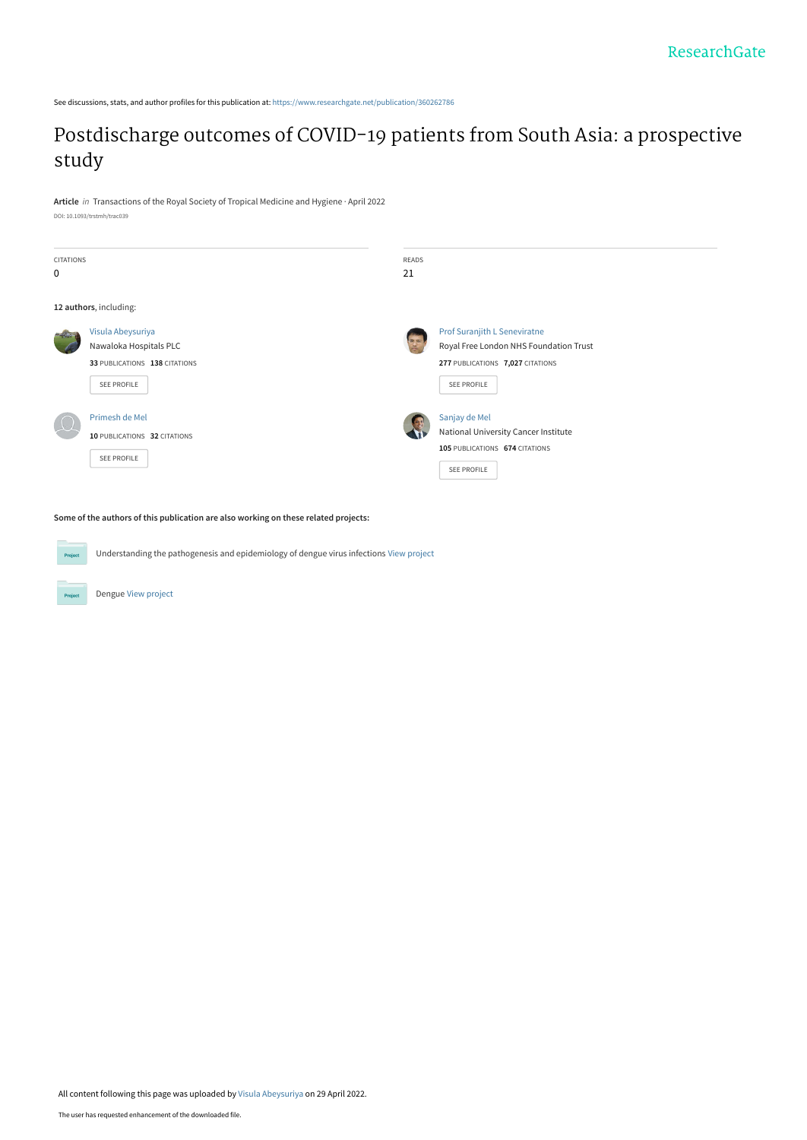See discussions, stats, and author profiles for this publication at: [https://www.researchgate.net/publication/360262786](https://www.researchgate.net/publication/360262786_Postdischarge_outcomes_of_COVID-19_patients_from_South_Asia_a_prospective_study?enrichId=rgreq-df2512653ba46f259b42fe7d738e17d6-XXX&enrichSource=Y292ZXJQYWdlOzM2MDI2Mjc4NjtBUzoxMTUwMjY3MzMyNTI2MDg5QDE2NTEyNTY1MTE1Njk%3D&el=1_x_2&_esc=publicationCoverPdf)

## [Postdischarge outcomes of COVID-19 patients from South Asia: a prospective](https://www.researchgate.net/publication/360262786_Postdischarge_outcomes_of_COVID-19_patients_from_South_Asia_a_prospective_study?enrichId=rgreq-df2512653ba46f259b42fe7d738e17d6-XXX&enrichSource=Y292ZXJQYWdlOzM2MDI2Mjc4NjtBUzoxMTUwMjY3MzMyNTI2MDg5QDE2NTEyNTY1MTE1Njk%3D&el=1_x_3&_esc=publicationCoverPdf) study

**Article** in Transactions of the Royal Society of Tropical Medicine and Hygiene · April 2022 DOI: 10.1093/trstmh/trac039

| CITATIONS<br>0 |                                                                                                    | <b>READS</b><br>21 |                                                                                                                           |
|----------------|----------------------------------------------------------------------------------------------------|--------------------|---------------------------------------------------------------------------------------------------------------------------|
|                | 12 authors, including:                                                                             |                    |                                                                                                                           |
|                | Visula Abeysuriya<br>Nawaloka Hospitals PLC<br>33 PUBLICATIONS 138 CITATIONS<br><b>SEE PROFILE</b> |                    | Prof Suranjith L Seneviratne<br>Royal Free London NHS Foundation Trust<br>277 PUBLICATIONS 7,027 CITATIONS<br>SEE PROFILE |
|                | Primesh de Mel<br>10 PUBLICATIONS 32 CITATIONS<br><b>SEE PROFILE</b>                               |                    | Sanjay de Mel<br>National University Cancer Institute<br>105 PUBLICATIONS 674 CITATIONS<br>SEE PROFILE                    |

**Some of the authors of this publication are also working on these related projects:**

**Project** Understanding the pathogenesis and epidemiology of dengue virus infections [View project](https://www.researchgate.net/project/Understanding-the-pathogenesis-and-epidemiology-of-dengue-virus-infections?enrichId=rgreq-df2512653ba46f259b42fe7d738e17d6-XXX&enrichSource=Y292ZXJQYWdlOzM2MDI2Mjc4NjtBUzoxMTUwMjY3MzMyNTI2MDg5QDE2NTEyNTY1MTE1Njk%3D&el=1_x_9&_esc=publicationCoverPdf)

Dengue [View project](https://www.researchgate.net/project/Dengue-37?enrichId=rgreq-df2512653ba46f259b42fe7d738e17d6-XXX&enrichSource=Y292ZXJQYWdlOzM2MDI2Mjc4NjtBUzoxMTUwMjY3MzMyNTI2MDg5QDE2NTEyNTY1MTE1Njk%3D&el=1_x_9&_esc=publicationCoverPdf)

**Project**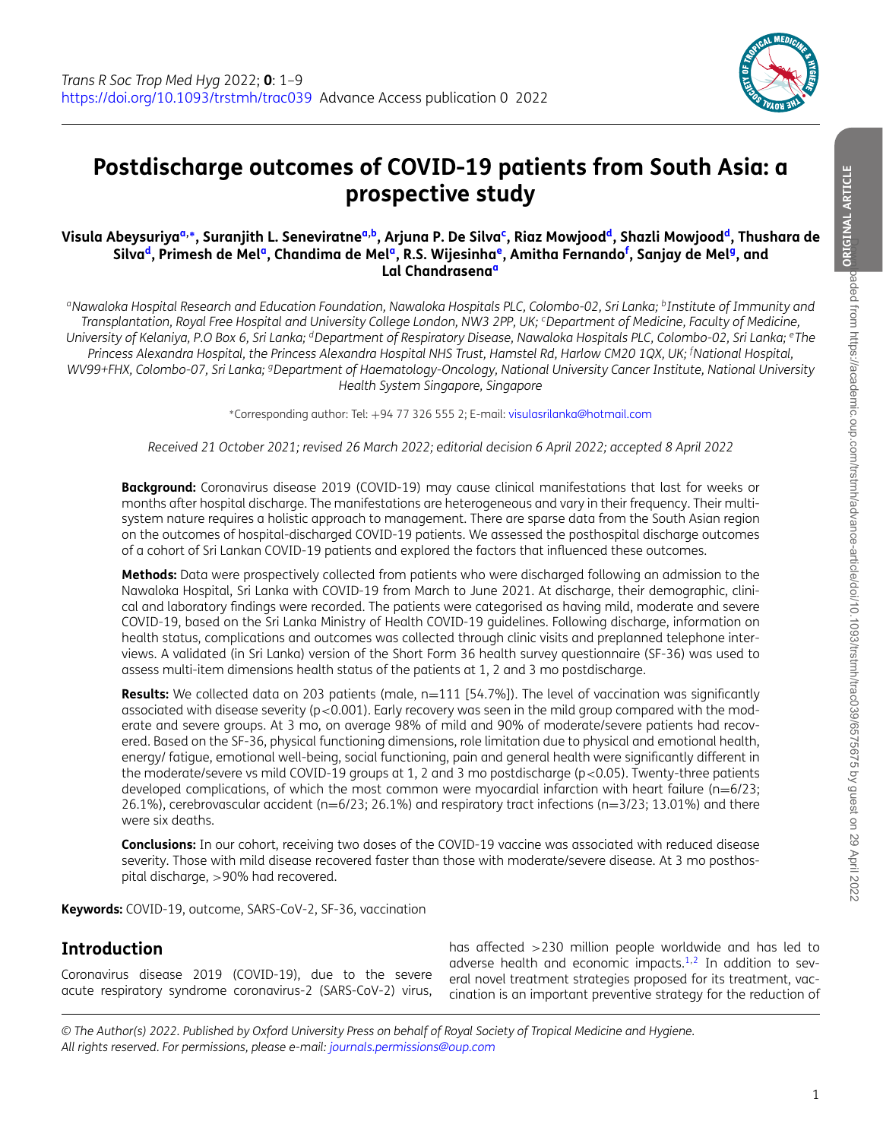<span id="page-1-6"></span><span id="page-1-5"></span><span id="page-1-2"></span>

# **Postdischarge outcomes of COVID-19 patients from South Asia: a prospective study**

#### Visula Abeysuriya<sup>[a,](#page-1-0)</sup>\*, Sur[a](#page-1-0)njith L. Seneviratne<sup>a,b</sup>, Arjuna P. De Silva<sup>c</sup>, Riaz Mowjood<sup>d</sup>, Shazli Mowjood<sup>d</sup>, Thushara de Silva<sup>d</sup>, Primesh de Mel<sup>a</sup>, Chandima de Mel<sup>a</sup>, R.S. Wijesinha<sup>e</sup>, Amitha Fernando<sup>[f](#page-1-6)</sup>, Sanjay de Mel<sup>g</sup>, and **Lal Chandrasena[a](#page-1-0)**

<span id="page-1-0"></span><sup>a</sup>Nawaloka Hospital Research and Education Foundation, Nawaloka Hospitals PLC, Colombo-02, Sri Lanka; <sup>b</sup>Institute of Immunity and Transplantation, Royal Free Hospital and University College London, NW3 2PP, UK; <sup>c</sup>Department of Medicine, Faculty of Medicine, University of Kelaniya, P.O Box 6, Sri Lanka; <sup>d</sup>Department of Respiratory Disease, Nawaloka Hospitals PLC, Colombo-02, Sri Lanka; <sup>e</sup>The Princess Alexandra Hospital, the Princess Alexandra Hospital NHS Trust, Hamstel Rd, Harlow CM20 1QX, UK; <sup>f</sup>National Hospital, *WV99+FHX, Colombo-07, Sri Lanka; gDepartment of Haematology-Oncology, National University Cancer Institute, National University Health System Singapore, Singapore*

<span id="page-1-7"></span><span id="page-1-4"></span><span id="page-1-3"></span><span id="page-1-1"></span><sup>∗</sup>Corresponding author: Tel: +94 77 326 555 2; E-mail: [visulasrilanka@hotmail.com](mailto:visulasrilanka@hotmail.com)

*Received 21 October 2021; revised 26 March 2022; editorial decision 6 April 2022; accepted 8 April 2022*

**Background:** Coronavirus disease 2019 (COVID-19) may cause clinical manifestations that last for weeks or months after hospital discharge. The manifestations are heterogeneous and vary in their frequency. Their multisystem nature requires a holistic approach to management. There are sparse data from the South Asian region on the outcomes of hospital-discharged COVID-19 patients. We assessed the posthospital discharge outcomes of a cohort of Sri Lankan COVID-19 patients and explored the factors that influenced these outcomes.

**Methods:** Data were prospectively collected from patients who were discharged following an admission to the Nawaloka Hospital, Sri Lanka with COVID-19 from March to June 2021. At discharge, their demographic, clinical and laboratory findings were recorded. The patients were categorised as having mild, moderate and severe COVID-19, based on the Sri Lanka Ministry of Health COVID-19 guidelines. Following discharge, information on health status, complications and outcomes was collected through clinic visits and preplanned telephone interviews. A validated (in Sri Lanka) version of the Short Form 36 health survey questionnaire (SF-36) was used to assess multi-item dimensions health status of the patients at 1, 2 and 3 mo postdischarge.

**Results:** We collected data on 203 patients (male, n=111 [54.7%]). The level of vaccination was significantly associated with disease severity ( $p < 0.001$ ). Early recovery was seen in the mild group compared with the moderate and severe groups. At 3 mo, on average 98% of mild and 90% of moderate/severe patients had recovered. Based on the SF-36, physical functioning dimensions, role limitation due to physical and emotional health, energy/ fatigue, emotional well-being, social functioning, pain and general health were significantly different in the moderate/severe vs mild COVID-19 groups at 1, 2 and 3 mo postdischarge (p<0.05). Twenty-three patients developed complications, of which the most common were myocardial infarction with heart failure (n=6/23; 26.1%), cerebrovascular accident (n=6/23; 26.1%) and respiratory tract infections (n=3/23; 13.01%) and there were six deaths.

**Conclusions:** In our cohort, receiving two doses of the COVID-19 vaccine was associated with reduced disease severity. Those with mild disease recovered faster than those with moderate/severe disease. At 3 mo posthospital discharge, >90% had recovered.

**Keywords:** COVID-19, outcome, SARS-CoV-2, SF-36, vaccination

### **Introduction**

Coronavirus disease 2019 (COVID-19), due to the severe acute respiratory syndrome coronavirus-2 (SARS-CoV-2) virus,

has affected >230 million people worldwide and has led to adverse health and economic impacts. $1,2$  $1,2$  In addition to several novel treatment strategies proposed for its treatment, vaccination is an important preventive strategy for the reduction of

<sup>©</sup> The Author(s) 2022. Published by Oxford University Press on behalf of Royal Society of Tropical Medicine and Hygiene. *All rights reserved. For permissions, please e-mail: [journals.permissions@oup.com](mailto:journals.permissions@oup.com)*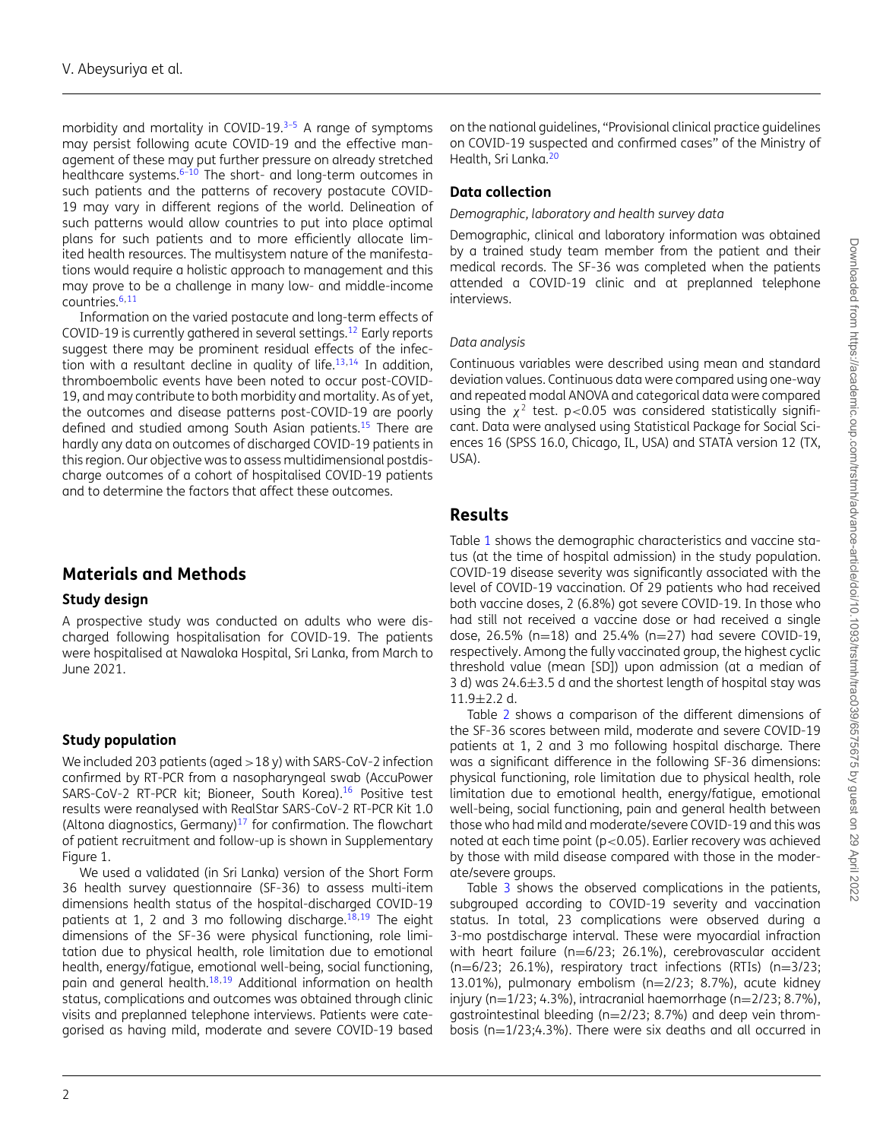morbidity and mortality in COVID-19.<sup>3-5</sup> A range of symptoms may persist following acute COVID-19 and the effective management of these may put further pressure on already stretched healthcare systems. $6-10$  The short- and long-term outcomes in such patients and the patterns of recovery postacute COVID-19 may vary in different regions of the world. Delineation of such patterns would allow countries to put into place optimal plans for such patients and to more efficiently allocate limited health resources. The multisystem nature of the manifestations would require a holistic approach to management and this may prove to be a challenge in many low- and middle-income countries.[6](#page-7-3)[,11](#page-8-0)

Information on the varied postacute and long-term effects of COVID-19 is currently gathered in several settings.[12](#page-8-1) Early reports suggest there may be prominent residual effects of the infec-tion with a resultant decline in quality of life.<sup>[13,](#page-8-2)[14](#page-8-3)</sup> In addition, thromboembolic events have been noted to occur post-COVID-19, and may contribute to both morbidity and mortality. As of yet, the outcomes and disease patterns post-COVID-19 are poorly defined and studied among South Asian patients.<sup>[15](#page-8-4)</sup> There are hardly any data on outcomes of discharged COVID-19 patients in this region. Our objective was to assess multidimensional postdischarge outcomes of a cohort of hospitalised COVID-19 patients and to determine the factors that affect these outcomes.

### **Materials and Methods**

#### **Study design**

A prospective study was conducted on adults who were discharged following hospitalisation for COVID-19. The patients were hospitalised at Nawaloka Hospital, Sri Lanka, from March to June 2021.

### **Study population**

We included 203 patients (aged >18 y) with SARS-CoV-2 infection confirmed by RT-PCR from a nasopharyngeal swab (AccuPower SARS-CoV-2 RT-PCR kit; Bioneer, South Korea).<sup>[16](#page-8-5)</sup> Positive test results were reanalysed with RealStar SARS-CoV-2 RT-PCR Kit 1.0 (Altona diagnostics, Germany) $17$  for confirmation. The flowchart of patient recruitment and follow-up is shown in Supplementary Figure 1.

We used a validated (in Sri Lanka) version of the Short Form 36 health survey questionnaire (SF-36) to assess multi-item dimensions health status of the hospital-discharged COVID-19 patients at 1, 2 and 3 mo following discharge. $18,19$  $18,19$  The eight dimensions of the SF-36 were physical functioning, role limitation due to physical health, role limitation due to emotional health, energy/fatigue, emotional well-being, social functioning, pain and general health.<sup>[18](#page-8-7)[,19](#page-8-8)</sup> Additional information on health status, complications and outcomes was obtained through clinic visits and preplanned telephone interviews. Patients were categorised as having mild, moderate and severe COVID-19 based

on the national guidelines, "Provisional clinical practice guidelines on COVID-19 suspected and confirmed cases" of the Ministry of Health, Sri Lanka.<sup>[20](#page-8-9)</sup>

#### **Data collection**

#### *Demographic, laboratory and health survey data*

Demographic, clinical and laboratory information was obtained by a trained study team member from the patient and their medical records. The SF-36 was completed when the patients attended a COVID-19 clinic and at preplanned telephone interviews.

#### *Data analysis*

Continuous variables were described using mean and standard deviation values. Continuous data were compared using one-way and repeated modal ANOVA and categorical data were compared using the  $\chi^2$  test. p<0.05 was considered statistically significant. Data were analysed using Statistical Package for Social Sciences 16 (SPSS 16.0, Chicago, IL, USA) and STATA version 12 (TX, USA).

### **Results**

Table [1](#page-3-0) shows the demographic characteristics and vaccine status (at the time of hospital admission) in the study population. COVID-19 disease severity was significantly associated with the level of COVID-19 vaccination. Of 29 patients who had received both vaccine doses, 2 (6.8%) got severe COVID-19. In those who had still not received a vaccine dose or had received a single dose, 26.5% (n=18) and 25.4% (n=27) had severe COVID-19, respectively. Among the fully vaccinated group, the highest cyclic threshold value (mean [SD]) upon admission (at a median of 3 d) was 24.6±3.5 d and the shortest length of hospital stay was 11.9±2.2 d.

Table [2](#page-4-0) shows a comparison of the different dimensions of the SF-36 scores between mild, moderate and severe COVID-19 patients at 1, 2 and 3 mo following hospital discharge. There was a significant difference in the following SF-36 dimensions: physical functioning, role limitation due to physical health, role limitation due to emotional health, energy/fatigue, emotional well-being, social functioning, pain and general health between those who had mild and moderate/severe COVID-19 and this was noted at each time point (p<0.05). Earlier recovery was achieved by those with mild disease compared with those in the moderate/severe groups.

Table [3](#page-5-0) shows the observed complications in the patients, subgrouped according to COVID-19 severity and vaccination status. In total, 23 complications were observed during a 3-mo postdischarge interval. These were myocardial infraction with heart failure (n=6/23; 26.1%), cerebrovascular accident (n=6/23; 26.1%), respiratory tract infections (RTIs) (n=3/23; 13.01%), pulmonary embolism (n=2/23; 8.7%), acute kidney injury (n= $1/23$ ; 4.3%), intracranial haemorrhage (n= $2/23$ ; 8.7%), gastrointestinal bleeding (n=2/23; 8.7%) and deep vein thrombosis (n=1/23;4.3%). There were six deaths and all occurred in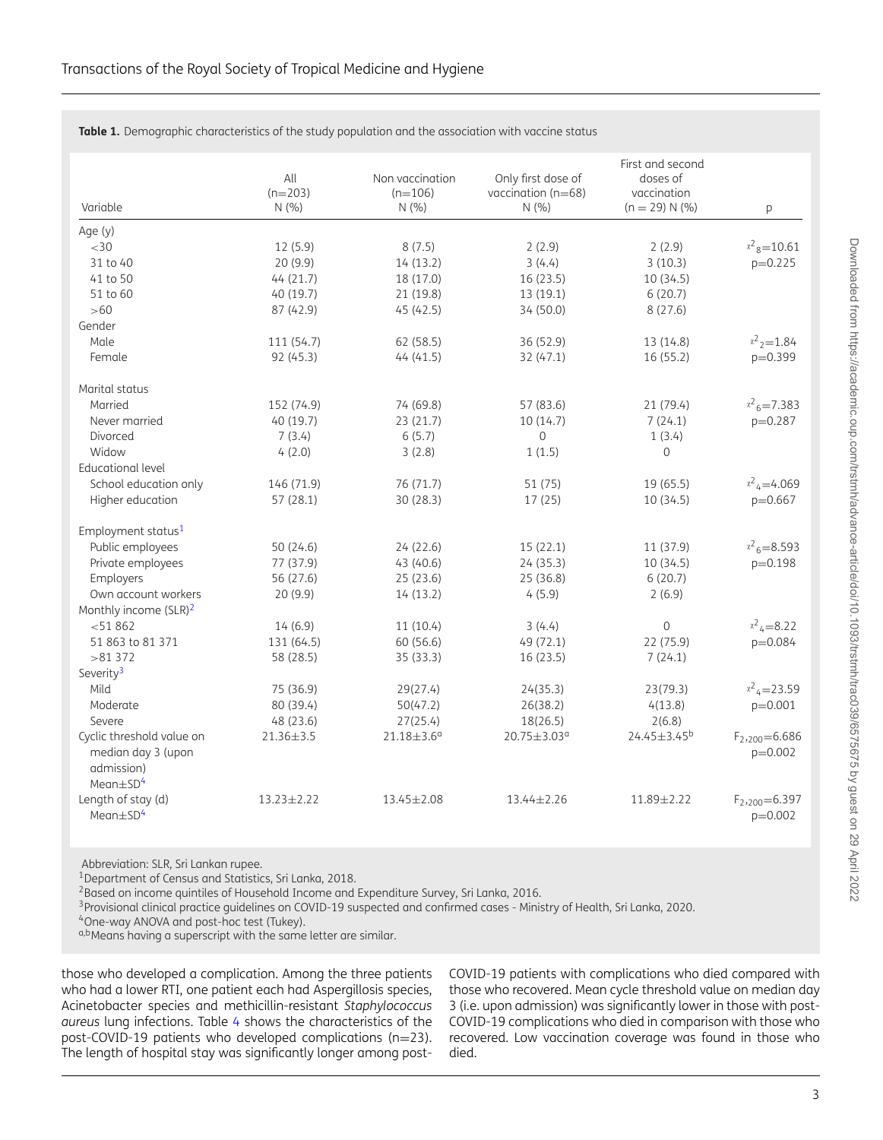| Variable                                                                                    | All<br>$(n=203)$<br>N(%) | Non vaccination<br>$(n=106)$<br>N(% ) | Only first dose of<br>vaccination (n=68)<br>N(% ) | First and second<br>doses of<br>vaccination<br>$(n = 29) N (%)$ | p                                |
|---------------------------------------------------------------------------------------------|--------------------------|---------------------------------------|---------------------------------------------------|-----------------------------------------------------------------|----------------------------------|
| Age (y)                                                                                     |                          |                                       |                                                   |                                                                 |                                  |
| <30                                                                                         | 12(5.9)                  | 8(7.5)                                | 2(2.9)                                            | 2(2.9)                                                          | $x^2$ <sub>8</sub> =10.61        |
| 31 to 40                                                                                    | 20 (9.9)                 | 14(13.2)                              | 3(4.4)                                            | 3(10.3)                                                         | $p=0.225$                        |
| 41 to 50                                                                                    | 44(21.7)                 | 18 (17.0)                             | 16(23.5)                                          | 10 (34.5)                                                       |                                  |
| 51 to 60                                                                                    | 40 (19.7)                | 21 (19.8)                             | 13 (19.1)                                         | 6(20.7)                                                         |                                  |
| $>60$                                                                                       | 87 (42.9)                | 45 (42.5)                             | 34 (50.0)                                         | 8(27.6)                                                         |                                  |
| Gender                                                                                      |                          |                                       |                                                   |                                                                 |                                  |
| Male                                                                                        | 111 (54.7)               | 62 (58.5)                             | 36 (52.9)                                         | 13 (14.8)                                                       | $x^2$ <sub>2</sub> =1.84         |
| Female                                                                                      | 92 (45.3)                | 44(41.5)                              | 32 (47.1)                                         | 16(55.2)                                                        | $p=0.399$                        |
| Marital status                                                                              |                          |                                       |                                                   |                                                                 |                                  |
| Married                                                                                     | 152 (74.9)               | 74 (69.8)                             | 57 (83.6)                                         | 21 (79.4)                                                       | $x^2$ <sub>6</sub> =7.383        |
| Never married                                                                               | 40 (19.7)                | 23 (21.7)                             | 10(14.7)                                          | 7(24.1)                                                         | $p=0.287$                        |
| Divorced                                                                                    | 7(3.4)                   | 6(5.7)                                | $\mathbf{0}$                                      | 1(3.4)                                                          |                                  |
| Widow                                                                                       | 4(2.0)                   | 3(2.8)                                | 1(1.5)                                            | $\mathbf 0$                                                     |                                  |
| <b>Educational level</b>                                                                    |                          |                                       |                                                   |                                                                 |                                  |
| School education only                                                                       | 146 (71.9)               | 76 (71.7)                             | 51 (75)                                           | 19 (65.5)                                                       | $x^2$ <sub>4</sub> =4.069        |
| Higher education                                                                            | 57(28.1)                 | 30 (28.3)                             | 17(25)                                            | 10(34.5)                                                        | p=0.667                          |
| Employment status <sup>1</sup>                                                              |                          |                                       |                                                   |                                                                 |                                  |
| Public employees                                                                            | 50 (24.6)                | 24 (22.6)                             | 15(22.1)                                          | 11 (37.9)                                                       | $x^2$ <sub>6</sub> =8.593        |
| Private employees                                                                           | 77 (37.9)                | 43 (40.6)                             | 24(35.3)                                          | 10 (34.5)                                                       | $p=0.198$                        |
| Employers                                                                                   | 56 (27.6)                | 25(23.6)                              | 25 (36.8)                                         | 6(20.7)                                                         |                                  |
| Own account workers                                                                         | 20 (9.9)                 | 14(13.2)                              | 4(5.9)                                            | 2(6.9)                                                          |                                  |
| Monthly income (SLR) <sup>2</sup>                                                           |                          |                                       |                                                   |                                                                 |                                  |
| < 51862                                                                                     | 14(6.9)                  | 11(10.4)                              | 3(4.4)                                            | $\overline{0}$                                                  | $x^2$ <sub>4</sub> =8.22         |
| 51 863 to 81 371                                                                            | 131 (64.5)               | 60 (56.6)                             | 49 (72.1)                                         | 22 (75.9)                                                       | $p=0.084$                        |
| >81372                                                                                      | 58 (28.5)                | 35 (33.3)                             | 16(23.5)                                          | 7(24.1)                                                         |                                  |
| Severity <sup>3</sup>                                                                       |                          |                                       |                                                   |                                                                 |                                  |
| Mild                                                                                        | 75 (36.9)                | 29(27.4)                              | 24(35.3)                                          | 23(79.3)                                                        | $x^2$ <sub>4</sub> =23.59        |
| Moderate                                                                                    | 80 (39.4)                | 50(47.2)                              | 26(38.2)                                          | 4(13.8)                                                         | $p=0.001$                        |
| Severe                                                                                      | 48 (23.6)                | 27(25.4)                              | 18(26.5)                                          | 2(6.8)                                                          |                                  |
| Cyclic threshold value on<br>median day 3 (upon<br>admission)<br>Mean $\pm$ SD <sup>4</sup> | 21.36±3.5                | $21.18 \pm 3.6^{\circ}$               | 20.75±3.03 <sup>a</sup>                           | 24.45±3.45 <sup>b</sup>                                         | $F_{2,200} = 6.686$<br>$p=0.002$ |
| Length of stay (d)<br>Mean $\pm$ SD <sup>4</sup>                                            | $13.23 \pm 2.22$         | 13.45±2.08                            | 13.44±2.26                                        | 11.89±2.22                                                      | $F_{2,200}$ =6.397<br>$p=0.002$  |

<span id="page-3-0"></span>**Table 1.** Demographic characteristics of the study population and the association with vaccine status

Abbreviation: SLR, Sri Lankan rupee.

<span id="page-3-1"></span>1Department of Census and Statistics, Sri Lanka, 2018.

<span id="page-3-2"></span><sup>2</sup>Based on income quintiles of Household Income and Expenditure Survey, Sri Lanka, 2016.

<span id="page-3-3"></span>3Provisional clinical practice guidelines on COVID-19 suspected and confirmed cases - Ministry of Health, Sri Lanka, 2020.

<span id="page-3-4"></span>4One-way ANOVA and post-hoc test (Tukey).

a,bMeans having a superscript with the same letter are similar.

those who developed a complication. Among the three patients who had a lower RTI, one patient each had Aspergillosis species, Acinetobacter species and methicillin-resistant *Staphylococcus aureus* lung infections. Table [4](#page-6-0) shows the characteristics of the post-COVID-19 patients who developed complications (n=23). The length of hospital stay was significantly longer among postCOVID-19 patients with complications who died compared with those who recovered. Mean cycle threshold value on median day 3 (i.e. upon admission) was significantly lower in those with post-COVID-19 complications who died in comparison with those who recovered. Low vaccination coverage was found in those who died.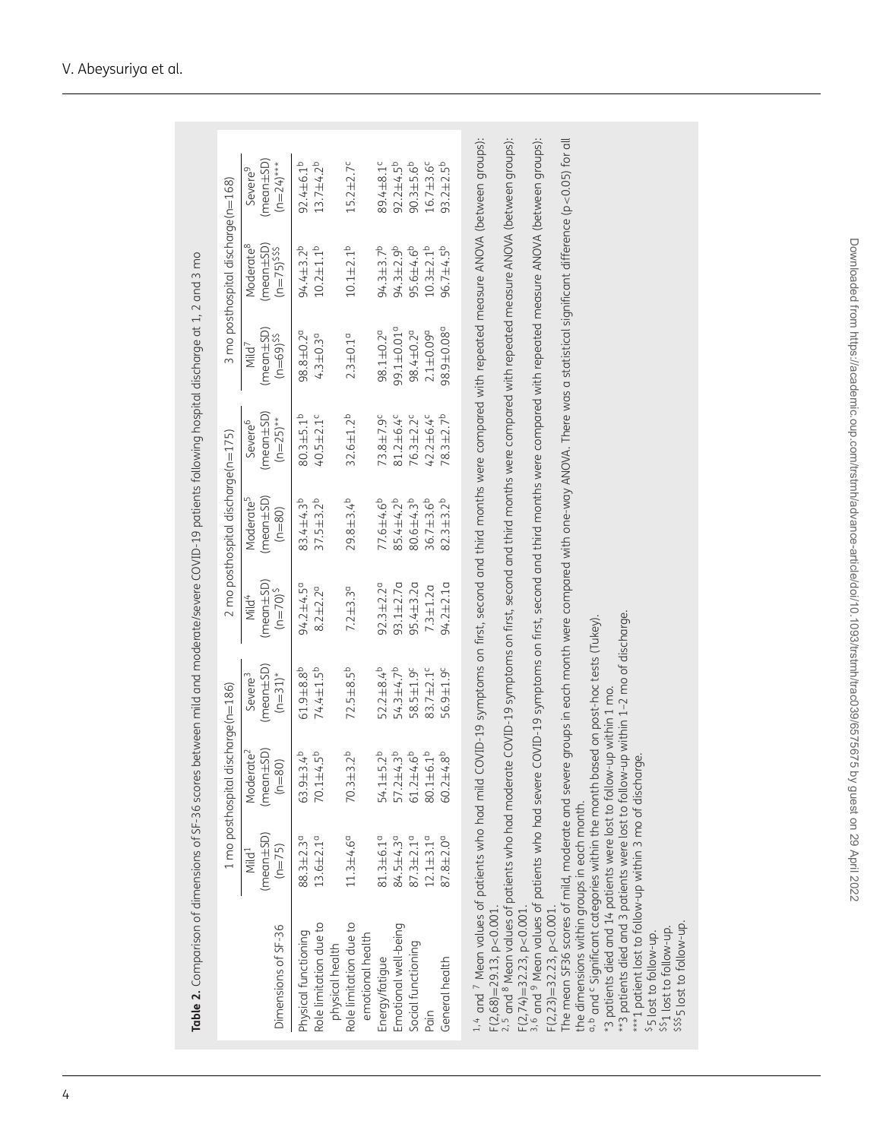<span id="page-4-0"></span>

|                                                                                                                                                                                                                                                                                                                                                                                                                                                                                                                                                                                                                                                                                                                                                                                                                                                                                                                                                                                                                                                                                                                                                           |                                                      | 1 mo posthospital discharge(n=186)                   |                                                      |                                                    | $2 \text{ mo posthospital disc}$ harge $(n=175)$    |                                                       |                                                                   | 3 mo posthospital discharge(n=168)                          |                                                                                                                    |
|-----------------------------------------------------------------------------------------------------------------------------------------------------------------------------------------------------------------------------------------------------------------------------------------------------------------------------------------------------------------------------------------------------------------------------------------------------------------------------------------------------------------------------------------------------------------------------------------------------------------------------------------------------------------------------------------------------------------------------------------------------------------------------------------------------------------------------------------------------------------------------------------------------------------------------------------------------------------------------------------------------------------------------------------------------------------------------------------------------------------------------------------------------------|------------------------------------------------------|------------------------------------------------------|------------------------------------------------------|----------------------------------------------------|-----------------------------------------------------|-------------------------------------------------------|-------------------------------------------------------------------|-------------------------------------------------------------|--------------------------------------------------------------------------------------------------------------------|
| Dimensions of SF-36                                                                                                                                                                                                                                                                                                                                                                                                                                                                                                                                                                                                                                                                                                                                                                                                                                                                                                                                                                                                                                                                                                                                       | $(mean \pm SD)$<br>$(n=75)$<br>Mild <sup>1</sup>     | $(mean \pm SD)$<br>Moderate <sup>2</sup><br>$(n=80)$ | $(mean \pm SD)$<br>$(n=31)^*$<br>Severe <sup>3</sup> | $(mean \pm SD)$<br>$(n=70)^5$<br>Mild <sup>4</sup> | $(mear\pm SD)$<br>Moderate <sup>5</sup><br>$(n=80)$ | $(mean \pm SD)$<br>$(n=25)$ **<br>Severe <sup>6</sup> | $(m$ ean $\pm$ SD)<br>$(n=69)$ <sup>SS</sup><br>Mild <sup>7</sup> | $(meen \pm SD)$<br>Moderate <sup>8</sup><br>$(n=75)$ \$\$\$ | $(mean \pm SD)$<br>$(n=24)^{***}$<br>Severe <sup>9</sup>                                                           |
| Role limitation due to<br>Physical functioning<br>physical health                                                                                                                                                                                                                                                                                                                                                                                                                                                                                                                                                                                                                                                                                                                                                                                                                                                                                                                                                                                                                                                                                         | $13.6 \pm 2.1$ <sup>0</sup><br>88.3±2.3 <sup>a</sup> | $63.9 + 3.4^{b}$<br>$70.1 + 4.5^{b}$                 | $61.9 + 8.8^{b}$<br>74.4±1.5 <sup>b</sup>            | $94.2 + 4.5^{\circ}$<br>$8.2 + 2.2^{\circ}$        | 83.4±4.3 <sup>b</sup><br>$37.5 + 3.2^{b}$           | $80.3 + 5.1b$<br>40.5±2.1°                            | $98.8 + 0.2a$<br>$4.3 \pm 0.3$ <sup>a</sup>                       | $94.4 + 3.2^{b}$<br>$10.2 + 1.1b$                           | $92.4 \pm 6.1^{b}$<br>$13.7 + 4.2^{b}$                                                                             |
| Role limitation due to<br>emotional health                                                                                                                                                                                                                                                                                                                                                                                                                                                                                                                                                                                                                                                                                                                                                                                                                                                                                                                                                                                                                                                                                                                | $11.3 + 4.6^{\circ}$                                 | $70.3 + 3.2^{b}$                                     | $72.5 + 8.5^{b}$                                     | $7.2 \pm 3.3$ <sup>0</sup>                         | $29.8 + 3.4^{b}$                                    | $32.6 \pm 1.2^{b}$                                    | $2.3 + 0.1a$                                                      | $10.1 + 2.1b$                                               | $15.2 + 2.7^c$                                                                                                     |
| Emotional well-being<br>Energy/fatique                                                                                                                                                                                                                                                                                                                                                                                                                                                                                                                                                                                                                                                                                                                                                                                                                                                                                                                                                                                                                                                                                                                    | $81.3 \pm 6.19$<br>84.5±4.3 <sup>a</sup>             | $57.2 + 4.3^{b}$<br>$54.1 + 5.2^{b}$                 | 54.3±4.7 <sup>b</sup><br>$52.2 + 8.4^{b}$            | $93.1 + 2.7$ a<br>$92.3 \pm 2.2^{\circ}$           | $77.6 + 4.6^{b}$<br>85.4±4.2 <sup>b</sup>           | 73.8±7.9 <sup>c</sup><br>81.2±6.4°                    | 99.1±0.01 <sup>a</sup><br>$98.1 \pm 0.2$ <sup>a</sup>             | $94.3 \pm 3.7^{b}$<br>$94.3 \pm 2.9^{\circ}$                | $92.2 + 4.5^{b}$<br>89.4±8.1°                                                                                      |
| Social functioning                                                                                                                                                                                                                                                                                                                                                                                                                                                                                                                                                                                                                                                                                                                                                                                                                                                                                                                                                                                                                                                                                                                                        | $87.3 \pm 2.1$ <sup>0</sup>                          | $61.2 + 4.6^{b}$                                     | 58.5±1.9 <sup>c</sup>                                | $95.4 + 3.20$                                      | $80.6 + 4.3^{b}$                                    | $76.3 \pm 2.2$ <sup>c</sup>                           | 98.4±0.2 <sup>a</sup>                                             | $95.6 + 4.6^{b}$                                            | $90.3 + 5.6^{b}$                                                                                                   |
| General health<br>Pain                                                                                                                                                                                                                                                                                                                                                                                                                                                                                                                                                                                                                                                                                                                                                                                                                                                                                                                                                                                                                                                                                                                                    | $12.1 + 3.10$<br>87.8±2.0 <sup>a</sup>               | $60.2 + 4.8^{b}$<br>$80.1 + 6.1^{b}$                 | 83.7±2.1 <sup>c</sup><br>56.9±1.9 <sup>c</sup>       | $94.2 \pm 2.1$ a<br>$7.3 + 1.2a$                   | $36.7 + 3.6^{b}$<br>$82.3 + 3.2^{b}$                | $42.2 + 6.4$<br>$78.3 + 2.7b$                         | 98.9±0.08°<br>$2.1 + 0.09d$                                       | $10.3 + 2.1^{b}$<br>$96.7 + 4.5^{b}$                        | $93.2 \pm 2.5^{b}$<br>$16.7 + 3.6^c$                                                                               |
|                                                                                                                                                                                                                                                                                                                                                                                                                                                                                                                                                                                                                                                                                                                                                                                                                                                                                                                                                                                                                                                                                                                                                           |                                                      |                                                      |                                                      |                                                    |                                                     |                                                       |                                                                   |                                                             |                                                                                                                    |
| 1,4 and 7 Mean values of patients who had mild COVID-19 symptoms on first, second and third months were compared with repeated measure ANOVA (between groups):<br><sup>3,6</sup> and <sup>9</sup> Mean values of patients who had severe COVID-19 symptoms on first, second and third months were compared with repeated measure ANOVA (between groups):<br>The mean SF36 scores of mild, moderate and severe groups in each month were compared with one-way ANOVA. There was a statistical significant difference (p<0.05) for all<br>**3 patients died and 3 patients were lost to follow-up within 1-2 mo of discharge.<br>a, b and <sup>c</sup> Significant categories within the month based on post-hoc tests (Tukey).<br>*3 patients died and 14 patients were lost to follow-up within 1 mo.<br>***1 patient lost to follow-up within 3 mo of discharge.<br>$^{2,5}$ and $^{8}$ Mean values of patients who had moderat<br>the dimensions within groups in each month.<br>$F(2,68)=29.13, p<0.001$ .<br>$F(2,23)=32.23, p<0.001$<br>$F(2,74)=32.23, p<0.001$<br>\$\$\$5 lost to follow-up.<br>\$\$1 lost to follow-up.<br>\$5 lost to follow-up. |                                                      |                                                      |                                                      |                                                    |                                                     |                                                       |                                                                   |                                                             | te COVID-19 symptoms on first, second and third months were compared with repeated measure ANOVA (between groups): |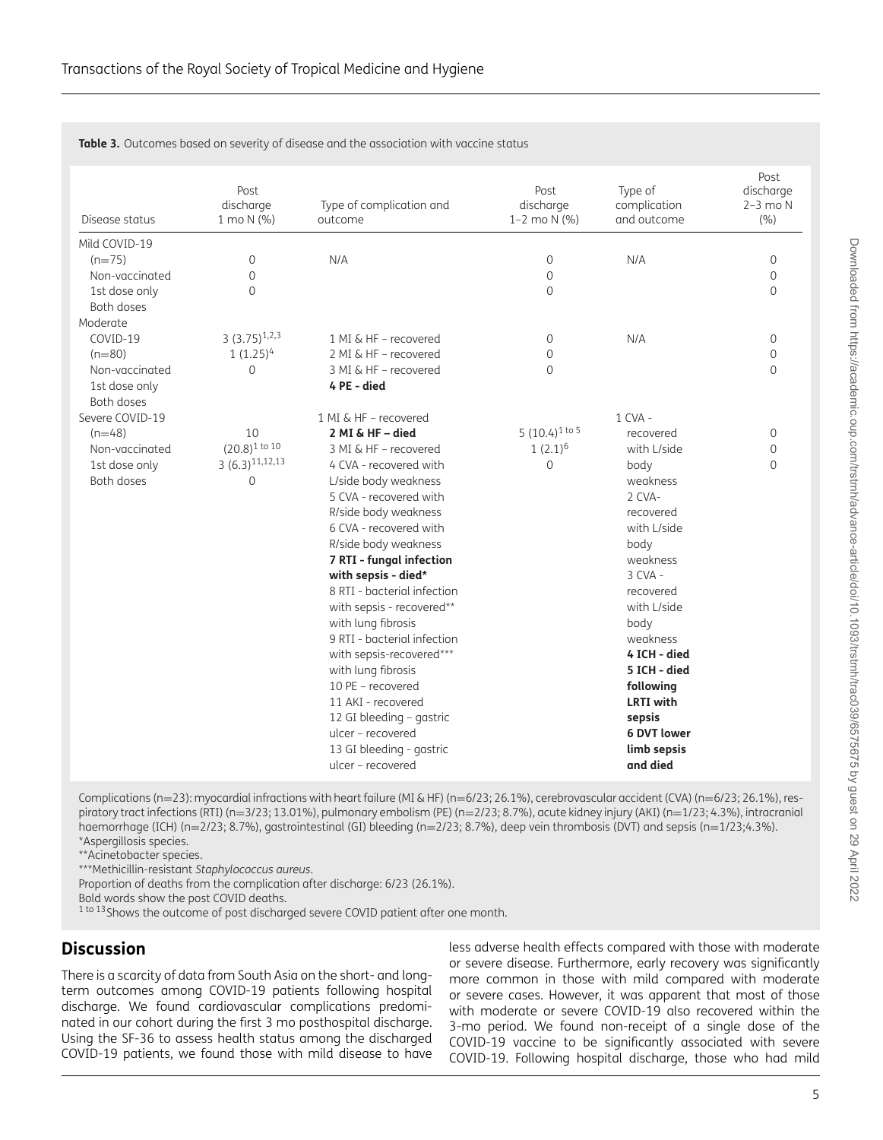| Disease status  | Post<br>discharge<br>1 mo N (%) | Type of complication and<br>outcome                                                                                                                                                                                                                                                                                                         | Post<br>discharge<br>1-2 mo $N$ (%) | Type of<br>complication<br>and outcome                                                                                                                                  | Post<br>discharge<br>$2-3$ mo $N$<br>(9/6) |
|-----------------|---------------------------------|---------------------------------------------------------------------------------------------------------------------------------------------------------------------------------------------------------------------------------------------------------------------------------------------------------------------------------------------|-------------------------------------|-------------------------------------------------------------------------------------------------------------------------------------------------------------------------|--------------------------------------------|
| Mild COVID-19   |                                 |                                                                                                                                                                                                                                                                                                                                             |                                     |                                                                                                                                                                         |                                            |
| $(n=75)$        | 0                               | N/A                                                                                                                                                                                                                                                                                                                                         | 0                                   | N/A                                                                                                                                                                     | $\mathbf{0}$                               |
| Non-vaccinated  | 0                               |                                                                                                                                                                                                                                                                                                                                             | 0                                   |                                                                                                                                                                         | $\mathsf{O}\xspace$                        |
| 1st dose only   | $\overline{0}$                  |                                                                                                                                                                                                                                                                                                                                             | 0                                   |                                                                                                                                                                         | $\Omega$                                   |
| Both doses      |                                 |                                                                                                                                                                                                                                                                                                                                             |                                     |                                                                                                                                                                         |                                            |
| Moderate        |                                 |                                                                                                                                                                                                                                                                                                                                             |                                     |                                                                                                                                                                         |                                            |
| COVID-19        | $3(3.75)^{1,2,3}$               | 1 MI & HF - recovered                                                                                                                                                                                                                                                                                                                       | $\mathbf{0}$                        | N/A                                                                                                                                                                     | 0                                          |
| $(n=80)$        | $1(1.25)^4$                     | 2 MI & HF - recovered                                                                                                                                                                                                                                                                                                                       | 0                                   |                                                                                                                                                                         | $\mathbf{0}$                               |
| Non-vaccinated  | $\mathbf 0$                     | 3 MI & HF - recovered                                                                                                                                                                                                                                                                                                                       | $\Omega$                            |                                                                                                                                                                         | $\Omega$                                   |
| 1st dose only   |                                 | 4 PE - died                                                                                                                                                                                                                                                                                                                                 |                                     |                                                                                                                                                                         |                                            |
| Both doses      |                                 |                                                                                                                                                                                                                                                                                                                                             |                                     |                                                                                                                                                                         |                                            |
| Severe COVID-19 |                                 | 1 MI & HF - recovered                                                                                                                                                                                                                                                                                                                       |                                     | $1$ CVA -                                                                                                                                                               |                                            |
| $(n=48)$        | 10                              | 2 MI & HF - died                                                                                                                                                                                                                                                                                                                            | 5 $(10.4)^{1}$ to 5                 | recovered                                                                                                                                                               | $\mathsf{O}\xspace$                        |
| Non-vaccinated  | $(20.8)^1$ to 10                | 3 MI & HF - recovered                                                                                                                                                                                                                                                                                                                       | $1(2.1)^6$                          | with L/side                                                                                                                                                             | 0                                          |
| 1st dose only   | $3(6.3)^{11,12,13}$             | 4 CVA - recovered with                                                                                                                                                                                                                                                                                                                      | 0                                   | body                                                                                                                                                                    | 0                                          |
| Both doses      | $\mathbf 0$                     | L/side body weakness                                                                                                                                                                                                                                                                                                                        |                                     | weakness                                                                                                                                                                |                                            |
|                 |                                 | 5 CVA - recovered with                                                                                                                                                                                                                                                                                                                      |                                     | 2 CVA-                                                                                                                                                                  |                                            |
|                 |                                 | R/side body weakness                                                                                                                                                                                                                                                                                                                        |                                     | recovered                                                                                                                                                               |                                            |
|                 |                                 |                                                                                                                                                                                                                                                                                                                                             |                                     |                                                                                                                                                                         |                                            |
|                 |                                 |                                                                                                                                                                                                                                                                                                                                             |                                     |                                                                                                                                                                         |                                            |
|                 |                                 |                                                                                                                                                                                                                                                                                                                                             |                                     |                                                                                                                                                                         |                                            |
|                 |                                 |                                                                                                                                                                                                                                                                                                                                             |                                     |                                                                                                                                                                         |                                            |
|                 |                                 |                                                                                                                                                                                                                                                                                                                                             |                                     |                                                                                                                                                                         |                                            |
|                 |                                 |                                                                                                                                                                                                                                                                                                                                             |                                     |                                                                                                                                                                         |                                            |
|                 |                                 |                                                                                                                                                                                                                                                                                                                                             |                                     |                                                                                                                                                                         |                                            |
|                 |                                 |                                                                                                                                                                                                                                                                                                                                             |                                     |                                                                                                                                                                         |                                            |
|                 |                                 |                                                                                                                                                                                                                                                                                                                                             |                                     |                                                                                                                                                                         |                                            |
|                 |                                 |                                                                                                                                                                                                                                                                                                                                             |                                     |                                                                                                                                                                         |                                            |
|                 |                                 |                                                                                                                                                                                                                                                                                                                                             |                                     |                                                                                                                                                                         |                                            |
|                 |                                 |                                                                                                                                                                                                                                                                                                                                             |                                     |                                                                                                                                                                         |                                            |
|                 |                                 | ulcer - recovered                                                                                                                                                                                                                                                                                                                           |                                     | 6 DVT lower                                                                                                                                                             |                                            |
|                 |                                 | 13 GI bleeding - gastric                                                                                                                                                                                                                                                                                                                    |                                     | limb sepsis                                                                                                                                                             |                                            |
|                 |                                 | ulcer - recovered                                                                                                                                                                                                                                                                                                                           |                                     | and died                                                                                                                                                                |                                            |
|                 |                                 | 6 CVA - recovered with<br>R/side body weakness<br>7 RTI - fungal infection<br>with sepsis - died*<br>8 RTI - bacterial infection<br>with sepsis - recovered**<br>with lung fibrosis<br>9 RTI - bacterial infection<br>with sepsis-recovered***<br>with lung fibrosis<br>10 PE - recovered<br>11 AKI - recovered<br>12 GI bleeding - gastric |                                     | with L/side<br>body<br>weakness<br>$3$ CVA -<br>recovered<br>with L/side<br>body<br>weakness<br>4 ICH - died<br>5 ICH - died<br>following<br><b>LRTI</b> with<br>sepsis |                                            |

<span id="page-5-0"></span>**Table 3.** Outcomes based on severity of disease and the association with vaccine status

Complications (n=23): myocardial infractions with heart failure (MI & HF) (n=6/23; 26.1%), cerebrovascular accident (CVA) (n=6/23; 26.1%), respiratory tract infections (RTI) (n=3/23; 13.01%), pulmonary embolism (PE) (n=2/23; 8.7%), acute kidney injury (AKI) (n=1/23; 4.3%), intracranial haemorrhage (ICH) (n=2/23; 8.7%), gastrointestinal (GI) bleeding (n=2/23; 8.7%), deep vein thrombosis (DVT) and sepsis (n=1/23;4.3%). \*Aspergillosis species.

\*\*Acinetobacter species.

\*\*\*Methicillin-resistant *Staphylococcus aureus*.

Proportion of deaths from the complication after discharge: 6/23 (26.1%).

Bold words show the post COVID deaths.

<sup>1 to 13</sup> Shows the outcome of post discharged severe COVID patient after one month.

### **Discussion**

There is a scarcity of data from South Asia on the short- and longterm outcomes among COVID-19 patients following hospital discharge. We found cardiovascular complications predominated in our cohort during the first 3 mo posthospital discharge. Using the SF-36 to assess health status among the discharged COVID-19 patients, we found those with mild disease to have

less adverse health effects compared with those with moderate or severe disease. Furthermore, early recovery was significantly more common in those with mild compared with moderate or severe cases. However, it was apparent that most of those with moderate or severe COVID-19 also recovered within the 3-mo period. We found non-receipt of a single dose of the COVID-19 vaccine to be significantly associated with severe COVID-19. Following hospital discharge, those who had mild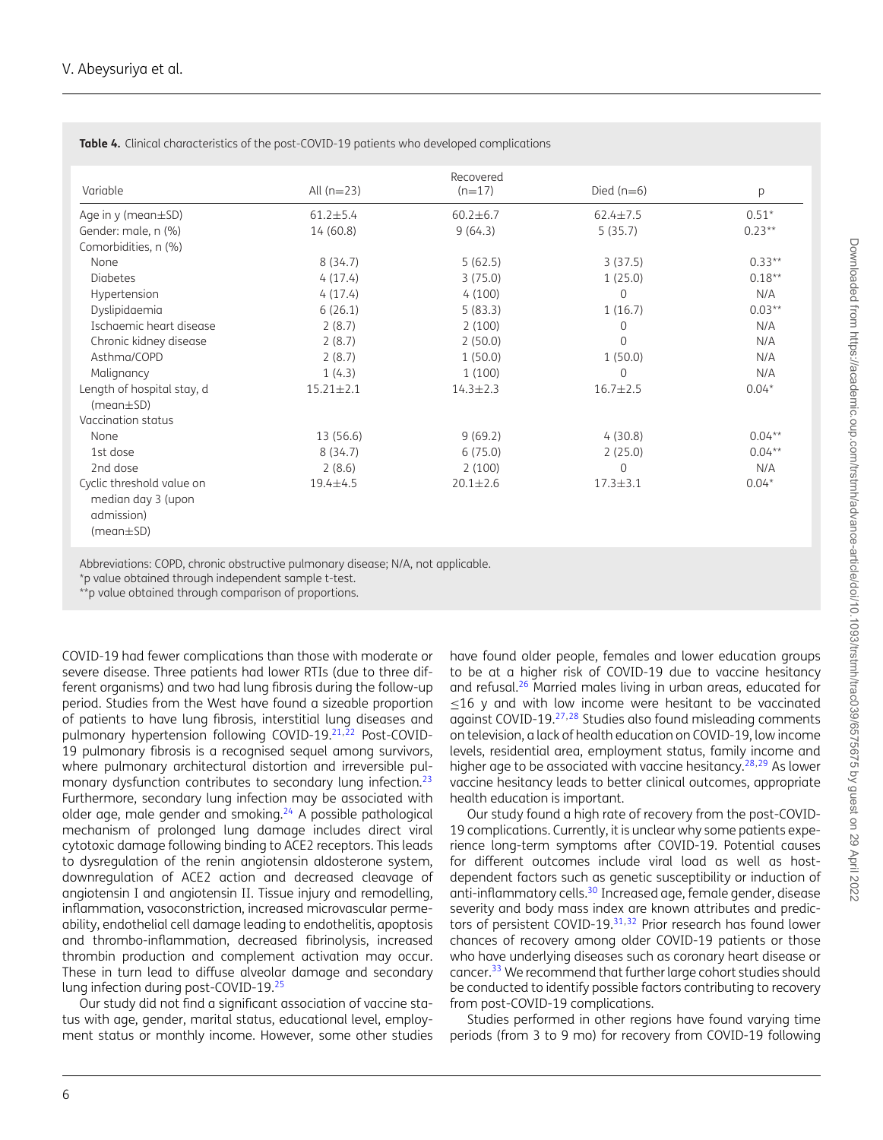| Variable                                                                         | All $(n=23)$    | Recovered<br>$(n=17)$ | Died $(n=6)$   | р         |
|----------------------------------------------------------------------------------|-----------------|-----------------------|----------------|-----------|
| Age in $y$ (mean $\pm$ SD)                                                       | $61.2 \pm 5.4$  | $60.2 \pm 6.7$        | $62.4 \pm 7.5$ | $0.51*$   |
| Gender: male, n (%)                                                              | 14(60.8)        | 9(64.3)               | 5(35.7)        | $0.23**$  |
| Comorbidities, n (%)                                                             |                 |                       |                |           |
| None                                                                             | 8(34.7)         | 5(62.5)               | 3(37.5)        | $0.33**$  |
| <b>Diabetes</b>                                                                  | 4(17.4)         | 3(75.0)               | 1(25.0)        | $0.18**$  |
| Hypertension                                                                     | 4(17.4)         | 4(100)                | $\Omega$       | N/A       |
| Dyslipidaemia                                                                    | 6(26.1)         | 5(83.3)               | 1(16.7)        | $0.03**$  |
| Ischaemic heart disease                                                          | 2(8.7)          | 2(100)                | $\Omega$       | N/A       |
| Chronic kidney disease                                                           | 2(8.7)          | 2(50.0)               | $\Omega$       | N/A       |
| Asthma/COPD                                                                      | 2(8.7)          | 1(50.0)               | 1(50.0)        | N/A       |
| Malignancy                                                                       | 1(4.3)          | 1(100)                | $\Omega$       | N/A       |
| Length of hospital stay, d<br>$(mean \pm SD)$                                    | $15.21 \pm 2.1$ | $14.3 \pm 2.3$        | $16.7 + 2.5$   | $0.04*$   |
| Vaccination status                                                               |                 |                       |                |           |
| None                                                                             | 13 (56.6)       | 9(69.2)               | 4(30.8)        | $0.04***$ |
| 1st dose                                                                         | 8(34.7)         | 6(75.0)               | 2(25.0)        | $0.04***$ |
| 2nd dose                                                                         | 2(8.6)          | 2(100)                | $\Omega$       | N/A       |
| Cyclic threshold value on<br>median day 3 (upon<br>admission)<br>$(mean \pm SD)$ | 19.4±4.5        | $20.1 \pm 2.6$        | $17.3 + 3.1$   | $0.04*$   |

<span id="page-6-0"></span>**Table 4.** Clinical characteristics of the post-COVID-19 patients who developed complications

Abbreviations: COPD, chronic obstructive pulmonary disease; N/A, not applicable.

\*p value obtained through independent sample t-test.

\*\*p value obtained through comparison of proportions.

COVID-19 had fewer complications than those with moderate or severe disease. Three patients had lower RTIs (due to three different organisms) and two had lung fibrosis during the follow-up period. Studies from the West have found a sizeable proportion of patients to have lung fibrosis, interstitial lung diseases and pulmonary hypertension following COVID-19.<sup>[21,](#page-8-10)[22](#page-8-11)</sup> Post-COVID-19 pulmonary fibrosis is a recognised sequel among survivors, where pulmonary architectural distortion and irreversible pul-monary dysfunction contributes to secondary lung infection.<sup>[23](#page-8-12)</sup> Furthermore, secondary lung infection may be associated with older age, male gender and smoking. $24$  A possible pathological mechanism of prolonged lung damage includes direct viral cytotoxic damage following binding to ACE2 receptors. This leads to dysregulation of the renin angiotensin aldosterone system, downregulation of ACE2 action and decreased cleavage of angiotensin I and angiotensin II. Tissue injury and remodelling, inflammation, vasoconstriction, increased microvascular permeability, endothelial cell damage leading to endothelitis, apoptosis and thrombo-inflammation, decreased fibrinolysis, increased thrombin production and complement activation may occur. These in turn lead to diffuse alveolar damage and secondary lung infection during post-COVID-19.[25](#page-8-14)

Our study did not find a significant association of vaccine status with age, gender, marital status, educational level, employment status or monthly income. However, some other studies have found older people, females and lower education groups to be at a higher risk of COVID-19 due to vaccine hesitancy and refusal.[26](#page-8-15) Married males living in urban areas, educated for ≤16 y and with low income were hesitant to be vaccinated against COVID-19.[27,](#page-8-16)[28](#page-8-17) Studies also found misleading comments on television, a lack of health education on COVID-19, low income levels, residential area, employment status, family income and higher age to be associated with vaccine hesitancy.<sup>[28,](#page-8-17)[29](#page-8-18)</sup> As lower vaccine hesitancy leads to better clinical outcomes, appropriate health education is important.

Our study found a high rate of recovery from the post-COVID-19 complications. Currently, it is unclear why some patients experience long-term symptoms after COVID-19. Potential causes for different outcomes include viral load as well as hostdependent factors such as genetic susceptibility or induction of anti-inflammatory cells.<sup>[30](#page-8-19)</sup> Increased age, female gender, disease severity and body mass index are known attributes and predic-tors of persistent COVID-19.<sup>[31,](#page-8-20)[32](#page-8-21)</sup> Prior research has found lower chances of recovery among older COVID-19 patients or those who have underlying diseases such as coronary heart disease or cancer.<sup>[33](#page-8-22)</sup> We recommend that further large cohort studies should be conducted to identify possible factors contributing to recovery from post-COVID-19 complications.

Studies performed in other regions have found varying time periods (from 3 to 9 mo) for recovery from COVID-19 following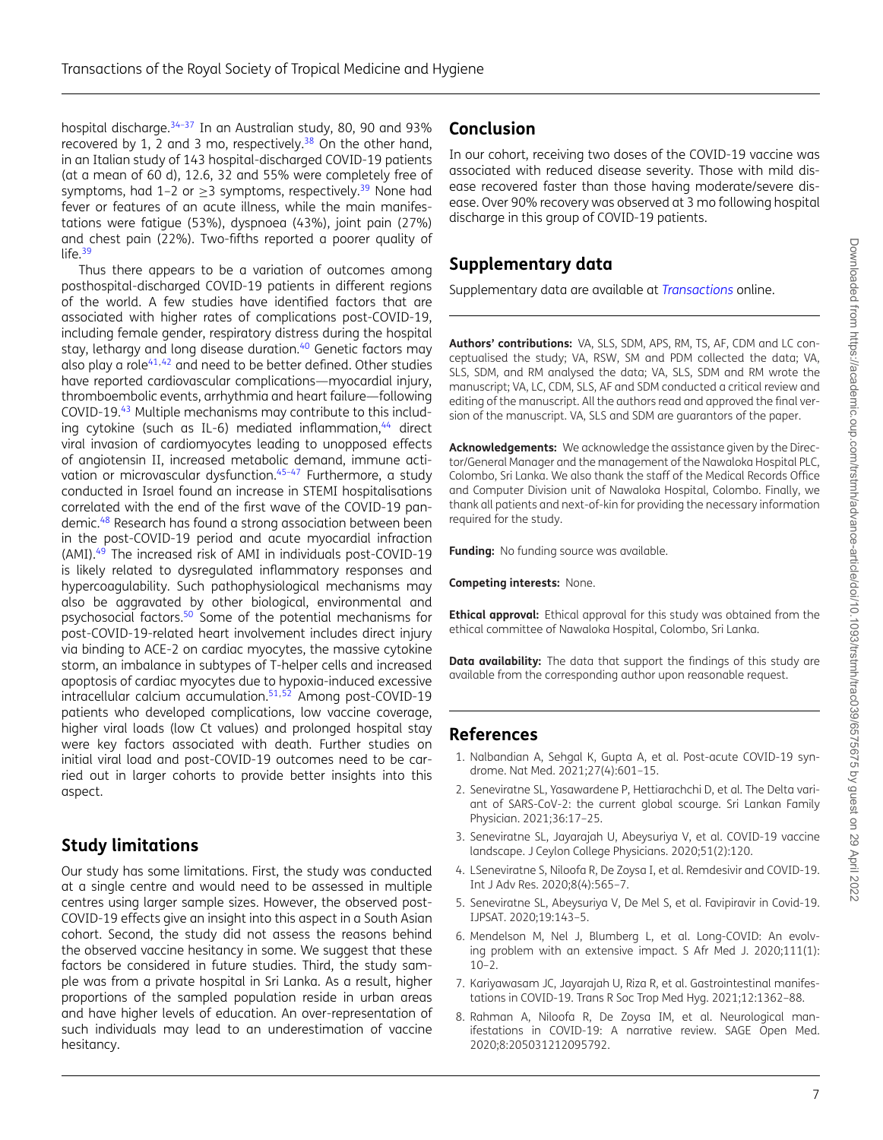hospital discharge.<sup>34-37</sup> In an Australian study, 80, 90 and 93% recovered by 1, 2 and 3 mo, respectively.<sup>[38](#page-8-24)</sup> On the other hand, in an Italian study of 143 hospital-discharged COVID-19 patients (at a mean of 60 d), 12.6, 32 and 55% were completely free of symptoms, had 1–2 or  $\geq$ 3 symptoms, respectively.<sup>[39](#page-8-25)</sup> None had fever or features of an acute illness, while the main manifestations were fatigue (53%), dyspnoea (43%), joint pain (27%) and chest pain (22%). Two-fifths reported a poorer quality of life.<sup>[39](#page-8-25)</sup>

Thus there appears to be a variation of outcomes among posthospital-discharged COVID-19 patients in different regions of the world. A few studies have identified factors that are associated with higher rates of complications post-COVID-19, including female gender, respiratory distress during the hospital stay, lethargy and long disease duration.<sup>[40](#page-8-26)</sup> Genetic factors may also play a role $41,42$  $41,42$  and need to be better defined. Other studies have reported cardiovascular complications—myocardial injury, thromboembolic events, arrhythmia and heart failure—following COVID-19.[43](#page-8-29) Multiple mechanisms may contribute to this including cytokine (such as IL-6) mediated inflammation,  $44$  direct viral invasion of cardiomyocytes leading to unopposed effects of angiotensin II, increased metabolic demand, immune activation or microvascular dysfunction.<sup>45-47</sup> Furthermore, a study conducted in Israel found an increase in STEMI hospitalisations correlated with the end of the first wave of the COVID-19 pandemic.[48](#page-8-32) Research has found a strong association between been in the post-COVID-19 period and acute myocardial infraction (AMI).[49](#page-9-0) The increased risk of AMI in individuals post-COVID-19 is likely related to dysregulated inflammatory responses and hypercoagulability. Such pathophysiological mechanisms may also be aggravated by other biological, environmental and psychosocial factors.<sup>[50](#page-9-1)</sup> Some of the potential mechanisms for post-COVID-19-related heart involvement includes direct injury via binding to ACE-2 on cardiac myocytes, the massive cytokine storm, an imbalance in subtypes of T-helper cells and increased apoptosis of cardiac myocytes due to hypoxia-induced excessive intracellular calcium accumulation.[51,](#page-9-2)[52](#page-9-3) Among post-COVID-19 patients who developed complications, low vaccine coverage, higher viral loads (low Ct values) and prolonged hospital stay were key factors associated with death. Further studies on initial viral load and post-COVID-19 outcomes need to be carried out in larger cohorts to provide better insights into this aspect.

### **Study limitations**

Our study has some limitations. First, the study was conducted at a single centre and would need to be assessed in multiple centres using larger sample sizes. However, the observed post-COVID-19 effects give an insight into this aspect in a South Asian cohort. Second, the study did not assess the reasons behind the observed vaccine hesitancy in some. We suggest that these factors be considered in future studies. Third, the study sample was from a private hospital in Sri Lanka. As a result, higher proportions of the sampled population reside in urban areas and have higher levels of education. An over-representation of such individuals may lead to an underestimation of vaccine hesitancy.

### **Conclusion**

In our cohort, receiving two doses of the COVID-19 vaccine was associated with reduced disease severity. Those with mild disease recovered faster than those having moderate/severe disease. Over 90% recovery was observed at 3 mo following hospital discharge in this group of COVID-19 patients.

### **Supplementary data**

Supplementary data are available at *[Transactions](https://academic.oup.com/trstmh/article-lookup/doi/10.1093/trstmh/trac039\043supplementary-data)* online.

**Authors' contributions:** VA, SLS, SDM, APS, RM, TS, AF, CDM and LC conceptualised the study; VA, RSW, SM and PDM collected the data; VA, SLS, SDM, and RM analysed the data; VA, SLS, SDM and RM wrote the manuscript; VA, LC, CDM, SLS, AF and SDM conducted a critical review and editing of the manuscript. All the authors read and approved the final version of the manuscript. VA, SLS and SDM are guarantors of the paper.

**Acknowledgements:** We acknowledge the assistance given by the Director/General Manager and the management of the Nawaloka Hospital PLC, Colombo, Sri Lanka. We also thank the staff of the Medical Records Office and Computer Division unit of Nawaloka Hospital, Colombo. Finally, we thank all patients and next-of-kin for providing the necessary information required for the study.

**Funding:** No funding source was available.

**Competing interests:** None.

**Ethical approval:** Ethical approval for this study was obtained from the ethical committee of Nawaloka Hospital, Colombo, Sri Lanka.

**Data availability:** The data that support the findings of this study are available from the corresponding author upon reasonable request.

### **References**

- <span id="page-7-0"></span>1. Nalbandian A, Sehgal K, Gupta A, et al. Post-acute COVID-19 syndrome. Nat Med. 2021;27(4):601–15.
- <span id="page-7-1"></span>2. Seneviratne SL, Yasawardene P, Hettiarachchi D, et al. The Delta variant of SARS-CoV-2: the current global scourge. Sri Lankan Family Physician. 2021;36:17–25.
- <span id="page-7-2"></span>3. Seneviratne SL, Jayarajah U, Abeysuriya V, et al. COVID-19 vaccine landscape. J Ceylon College Physicians. 2020;51(2):120.
- 4. LSeneviratne S, Niloofa R, De Zoysa I, et al. Remdesivir and COVID-19. Int J Adv Res. 2020;8(4):565–7.
- 5. Seneviratne SL, Abeysuriya V, De Mel S, et al. Favipiravir in Covid-19. IJPSAT. 2020;19:143–5.
- <span id="page-7-3"></span>6. Mendelson M, Nel J, Blumberg L, et al. Long-COVID: An evolving problem with an extensive impact. S Afr Med J. 2020;111(1):  $10-2$ .
- 7. Kariyawasam JC, Jayarajah U, Riza R, et al. Gastrointestinal manifestations in COVID-19. Trans R Soc Trop Med Hyg. 2021;12:1362–88.
- 8. Rahman A, Niloofa R, De Zoysa IM, et al. Neurological manifestations in COVID-19: A narrative review. SAGE Open Med. 2020;8:205031212095792.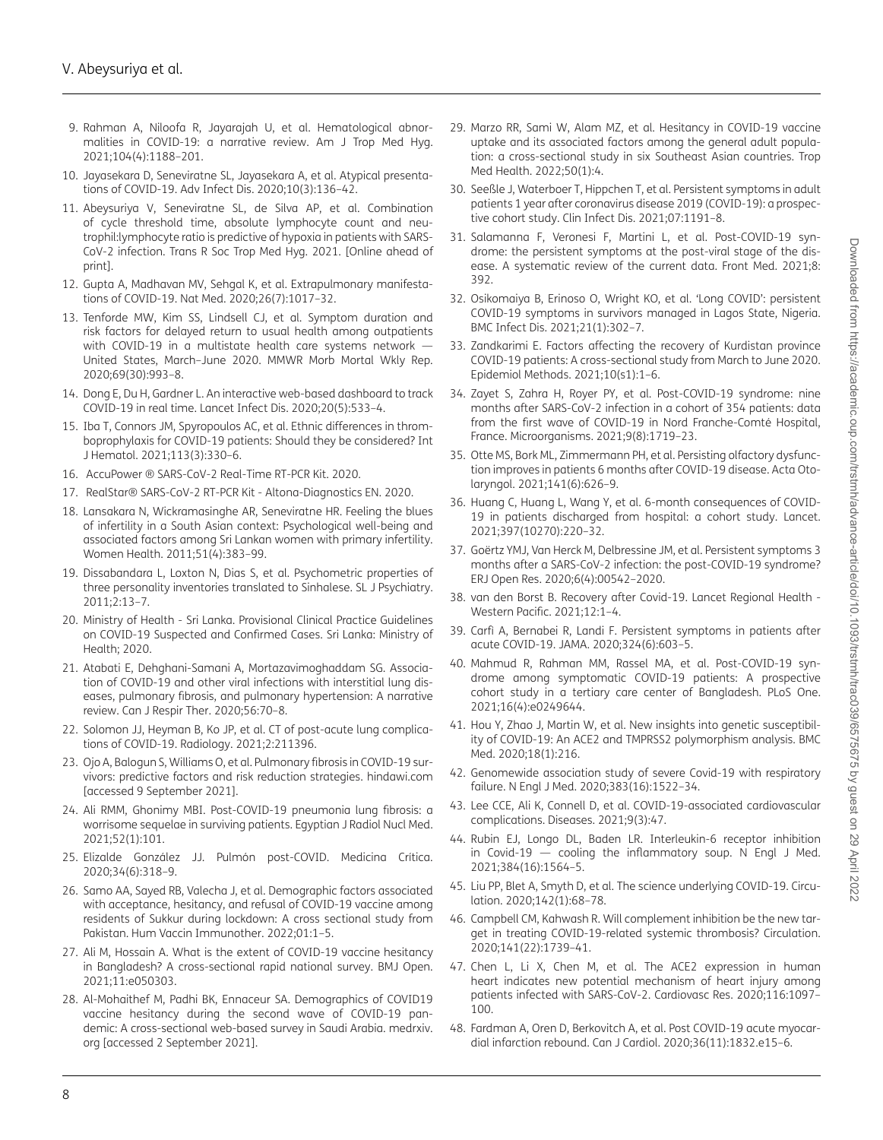- 9. Rahman A, Niloofa R, Jayarajah U, et al. Hematological abnormalities in COVID-19: a narrative review. Am J Trop Med Hyg. 2021;104(4):1188–201.
- 10. Jayasekara D, Seneviratne SL, Jayasekara A, et al. Atypical presentations of COVID-19. Adv Infect Dis. 2020;10(3):136–42.
- <span id="page-8-0"></span>11. Abeysuriya V, Seneviratne SL, de Silva AP, et al. Combination of cycle threshold time, absolute lymphocyte count and neutrophil:lymphocyte ratio is predictive of hypoxia in patients with SARS-CoV-2 infection. Trans R Soc Trop Med Hyg. 2021. [Online ahead of print].
- <span id="page-8-1"></span>12. Gupta A, Madhavan MV, Sehgal K, et al. Extrapulmonary manifestations of COVID-19. Nat Med. 2020;26(7):1017–32.
- <span id="page-8-2"></span>13. Tenforde MW, Kim SS, Lindsell CJ, et al. Symptom duration and risk factors for delayed return to usual health among outpatients with COVID-19 in a multistate health care systems network — United States, March–June 2020. MMWR Morb Mortal Wkly Rep. 2020;69(30):993–8.
- <span id="page-8-3"></span>14. Dong E, Du H, Gardner L. An interactive web-based dashboard to track COVID-19 in real time. Lancet Infect Dis. 2020;20(5):533–4.
- <span id="page-8-4"></span>15. Iba T, Connors JM, Spyropoulos AC, et al. Ethnic differences in thromboprophylaxis for COVID-19 patients: Should they be considered? Int J Hematol. 2021;113(3):330–6.
- <span id="page-8-5"></span>16. AccuPower ® SARS-CoV-2 Real-Time RT-PCR Kit. 2020.
- <span id="page-8-6"></span>17. RealStar® SARS-CoV-2 RT-PCR Kit - Altona-Diagnostics EN. 2020.
- <span id="page-8-7"></span>18. Lansakara N, Wickramasinghe AR, Seneviratne HR. Feeling the blues of infertility in a South Asian context: Psychological well-being and associated factors among Sri Lankan women with primary infertility. Women Health. 2011;51(4):383–99.
- <span id="page-8-8"></span>19. Dissabandara L, Loxton N, Dias S, et al. Psychometric properties of three personality inventories translated to Sinhalese. SL J Psychiatry. 2011;2:13–7.
- <span id="page-8-9"></span>20. Ministry of Health - Sri Lanka. Provisional Clinical Practice Guidelines on COVID-19 Suspected and Confirmed Cases. Sri Lanka: Ministry of Health; 2020.
- <span id="page-8-10"></span>21. Atabati E, Dehghani-Samani A, Mortazavimoghaddam SG. Association of COVID-19 and other viral infections with interstitial lung diseases, pulmonary fibrosis, and pulmonary hypertension: A narrative review. Can J Respir Ther. 2020;56:70–8.
- <span id="page-8-11"></span>22. Solomon JJ, Heyman B, Ko JP, et al. CT of post-acute lung complications of COVID-19. Radiology. 2021;2:211396.
- <span id="page-8-12"></span>23. Ojo A, Balogun S, Williams O, et al. Pulmonary fibrosis in COVID-19 survivors: predictive factors and risk reduction strategies. hindawi.com [accessed 9 September 2021].
- <span id="page-8-13"></span>24. Ali RMM, Ghonimy MBI. Post-COVID-19 pneumonia lung fibrosis: a worrisome sequelae in surviving patients. Egyptian J Radiol Nucl Med. 2021;52(1):101.
- <span id="page-8-14"></span>25. Elizalde González JJ. Pulmón post-COVID. Medicina Crítica. 2020;34(6):318–9.
- <span id="page-8-15"></span>26. Samo AA, Sayed RB, Valecha J, et al. Demographic factors associated with acceptance, hesitancy, and refusal of COVID-19 vaccine among residents of Sukkur during lockdown: A cross sectional study from Pakistan. Hum Vaccin Immunother. 2022;01:1–5.
- <span id="page-8-16"></span>27. Ali M, Hossain A. What is the extent of COVID-19 vaccine hesitancy in Bangladesh? A cross-sectional rapid national survey. BMJ Open. 2021;11:e050303.
- <span id="page-8-17"></span>28. Al-Mohaithef M, Padhi BK, Ennaceur SA. Demographics of COVID19 vaccine hesitancy during the second wave of COVID-19 pandemic: A cross-sectional web-based survey in Saudi Arabia. medrxiv. org [accessed 2 September 2021].
- <span id="page-8-18"></span>29. Marzo RR, Sami W, Alam MZ, et al. Hesitancy in COVID-19 vaccine uptake and its associated factors among the general adult population: a cross-sectional study in six Southeast Asian countries. Trop Med Health. 2022;50(1):4.
- <span id="page-8-19"></span>30. Seeßle J, Waterboer T, Hippchen T, et al. Persistent symptoms in adult patients 1 year after coronavirus disease 2019 (COVID-19): a prospective cohort study. Clin Infect Dis. 2021;07:1191–8.
- <span id="page-8-20"></span>31. Salamanna F, Veronesi F, Martini L, et al. Post-COVID-19 syndrome: the persistent symptoms at the post-viral stage of the disease. A systematic review of the current data. Front Med. 2021;8: 392.
- <span id="page-8-21"></span>32. Osikomaiya B, Erinoso O, Wright KO, et al. 'Long COVID': persistent COVID-19 symptoms in survivors managed in Lagos State, Nigeria. BMC Infect Dis. 2021;21(1):302–7.
- <span id="page-8-22"></span>33. Zandkarimi E. Factors affecting the recovery of Kurdistan province COVID-19 patients: A cross-sectional study from March to June 2020. Epidemiol Methods. 2021;10(s1):1–6.
- <span id="page-8-23"></span>34. Zayet S, Zahra H, Royer PY, et al. Post-COVID-19 syndrome: nine months after SARS-CoV-2 infection in a cohort of 354 patients: data from the first wave of COVID-19 in Nord Franche-Comté Hospital, France. Microorganisms. 2021;9(8):1719–23.
- 35. Otte MS, Bork ML, Zimmermann PH, et al. Persisting olfactory dysfunction improves in patients 6 months after COVID-19 disease. Acta Otolaryngol. 2021;141(6):626–9.
- 36. Huang C, Huang L, Wang Y, et al. 6-month consequences of COVID-19 in patients discharged from hospital: a cohort study. Lancet. 2021;397(10270):220–32.
- 37. Goërtz YMJ, Van Herck M, Delbressine JM, et al. Persistent symptoms 3 months after a SARS-CoV-2 infection: the post-COVID-19 syndrome? ERJ Open Res. 2020;6(4):00542–2020.
- <span id="page-8-24"></span>38. van den Borst B. Recovery after Covid-19. Lancet Regional Health - Western Pacific. 2021;12:1–4.
- <span id="page-8-25"></span>39. Carfì A, Bernabei R, Landi F. Persistent symptoms in patients after acute COVID-19. JAMA. 2020;324(6):603–5.
- <span id="page-8-26"></span>40. Mahmud R, Rahman MM, Rassel MA, et al. Post-COVID-19 syndrome among symptomatic COVID-19 patients: A prospective cohort study in a tertiary care center of Bangladesh. PLoS One. 2021;16(4):e0249644.
- <span id="page-8-27"></span>41. Hou Y, Zhao J, Martin W, et al. New insights into genetic susceptibility of COVID-19: An ACE2 and TMPRSS2 polymorphism analysis. BMC Med. 2020;18(1):216.
- <span id="page-8-28"></span>42. Genomewide association study of severe Covid-19 with respiratory failure. N Engl J Med. 2020;383(16):1522–34.
- <span id="page-8-29"></span>43. Lee CCE, Ali K, Connell D, et al. COVID-19-associated cardiovascular complications. Diseases. 2021;9(3):47.
- <span id="page-8-30"></span>44. Rubin EJ, Longo DL, Baden LR. Interleukin-6 receptor inhibition in Covid-19 — cooling the inflammatory soup. N Engl J Med. 2021;384(16):1564–5.
- <span id="page-8-31"></span>45. Liu PP, Blet A, Smyth D, et al. The science underlying COVID-19. Circulation. 2020;142(1):68–78.
- 46. Campbell CM, Kahwash R. Will complement inhibition be the new target in treating COVID-19-related systemic thrombosis? Circulation. 2020;141(22):1739–41.
- 47. Chen L, Li X, Chen M, et al. The ACE2 expression in human heart indicates new potential mechanism of heart injury among patients infected with SARS-CoV-2. Cardiovasc Res. 2020;116:1097– 100.
- <span id="page-8-32"></span>48. Fardman A, Oren D, Berkovitch A, et al. Post COVID-19 acute myocardial infarction rebound. Can J Cardiol. 2020;36(11):1832.e15–6.